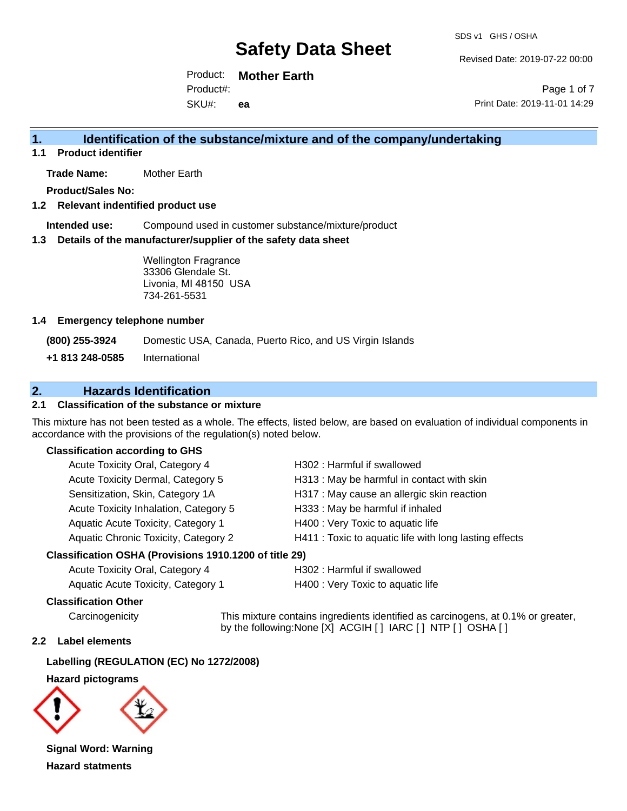Revised Date: 2019-07-22 00:00

Product: **Mother Earth** SKU#: Product#: **ea**

Page 1 of 7 Print Date: 2019-11-01 14:29

### **1. Identification of the substance/mixture and of the company/undertaking**

**1.1 Product identifier**

**Trade Name:** Mother Earth

**Product/Sales No:**

**1.2 Relevant indentified product use**

**Intended use:** Compound used in customer substance/mixture/product

**1.3 Details of the manufacturer/supplier of the safety data sheet**

Wellington Fragrance 33306 Glendale St. Livonia, MI 48150 USA 734-261-5531

#### **1.4 Emergency telephone number**

**(800) 255-3924** Domestic USA, Canada, Puerto Rico, and US Virgin Islands

**+1 813 248-0585** International

### **2. Hazards Identification**

#### **2.1 Classification of the substance or mixture**

This mixture has not been tested as a whole. The effects, listed below, are based on evaluation of individual components in accordance with the provisions of the regulation(s) noted below.

#### **Classification according to GHS**

| Acute Toxicity Oral, Category 4       | H302 : Harmful if swallowed                            |
|---------------------------------------|--------------------------------------------------------|
| Acute Toxicity Dermal, Category 5     | H313: May be harmful in contact with skin              |
| Sensitization, Skin, Category 1A      | H317 : May cause an allergic skin reaction             |
| Acute Toxicity Inhalation, Category 5 | H333: May be harmful if inhaled                        |
| Aquatic Acute Toxicity, Category 1    | H400 : Very Toxic to aquatic life                      |
| Aquatic Chronic Toxicity, Category 2  | H411 : Toxic to aquatic life with long lasting effects |
|                                       |                                                        |

#### **Classification OSHA (Provisions 1910.1200 of title 29)**

| Acute Toxicity Oral, Category 4    |  |
|------------------------------------|--|
| Aquatic Acute Toxicity. Category 1 |  |

H302 : Harmful if swallowed

H400 : Very Toxic to aquatic life

#### **Classification Other**

Carcinogenicity This mixture contains ingredients identified as carcinogens, at 0.1% or greater, by the following:None [X] ACGIH [ ] IARC [ ] NTP [ ] OSHA [ ]

#### **2.2 Label elements**

#### **Labelling (REGULATION (EC) No 1272/2008)**

#### **Hazard pictograms**



**Signal Word: Warning Hazard statments**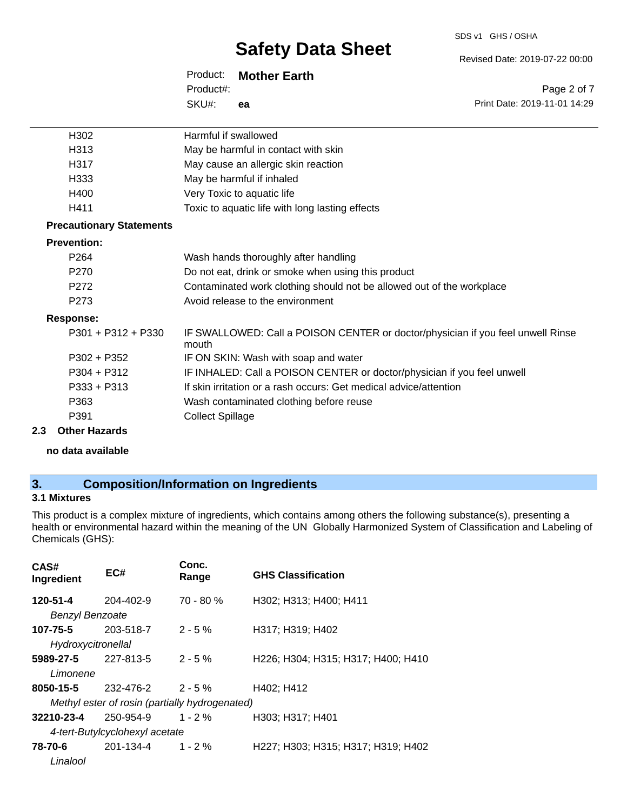Revised Date: 2019-07-22 00:00

Print Date: 2019-11-01 14:29

Page 2 of 7

| Product: Mother Earth |    |  |
|-----------------------|----|--|
| Product#:             |    |  |
| SKU#:                 | ea |  |

| Harmful if swallowed                                                                     |
|------------------------------------------------------------------------------------------|
| May be harmful in contact with skin                                                      |
| May cause an allergic skin reaction                                                      |
| May be harmful if inhaled                                                                |
| Very Toxic to aquatic life                                                               |
| Toxic to aquatic life with long lasting effects                                          |
|                                                                                          |
|                                                                                          |
| Wash hands thoroughly after handling                                                     |
| Do not eat, drink or smoke when using this product                                       |
| Contaminated work clothing should not be allowed out of the workplace                    |
| Avoid release to the environment                                                         |
|                                                                                          |
| IF SWALLOWED: Call a POISON CENTER or doctor/physician if you feel unwell Rinse<br>mouth |
| IF ON SKIN: Wash with soap and water                                                     |
| IF INHALED: Call a POISON CENTER or doctor/physician if you feel unwell                  |
| If skin irritation or a rash occurs: Get medical advice/attention                        |
| Wash contaminated clothing before reuse                                                  |
| <b>Collect Spillage</b>                                                                  |
|                                                                                          |

#### **2.3 Other Hazards**

**no data available**

# **3. Composition/Information on Ingredients**

### **3.1 Mixtures**

This product is a complex mixture of ingredients, which contains among others the following substance(s), presenting a health or environmental hazard within the meaning of the UN Globally Harmonized System of Classification and Labeling of Chemicals (GHS):

| CAS#<br>Ingredient     | EC#                                            | Conc.<br>Range | <b>GHS Classification</b>          |
|------------------------|------------------------------------------------|----------------|------------------------------------|
| 120-51-4               | $204 - 402 - 9$                                | $70 - 80 %$    | H302; H313; H400; H411             |
| <b>Benzyl Benzoate</b> |                                                |                |                                    |
| 107-75-5               | 203-518-7                                      | $2 - 5 \%$     | H317; H319; H402                   |
| Hydroxycitronellal     |                                                |                |                                    |
| 5989-27-5              | 227-813-5                                      | $2 - 5%$       | H226; H304; H315; H317; H400; H410 |
| Limonene               |                                                |                |                                    |
| 8050-15-5              | $232 - 476 - 2$ 2 - 5 %                        |                | H402; H412                         |
|                        | Methyl ester of rosin (partially hydrogenated) |                |                                    |
| 32210-23-4             | 250-954-9                                      | $1 - 2%$       | H303: H317: H401                   |
|                        | 4-tert-Butylcyclohexyl acetate                 |                |                                    |
| 78-70-6                | 201-134-4                                      | $1 - 2\%$      | H227; H303; H315; H317; H319; H402 |
| Linalool               |                                                |                |                                    |
|                        |                                                |                |                                    |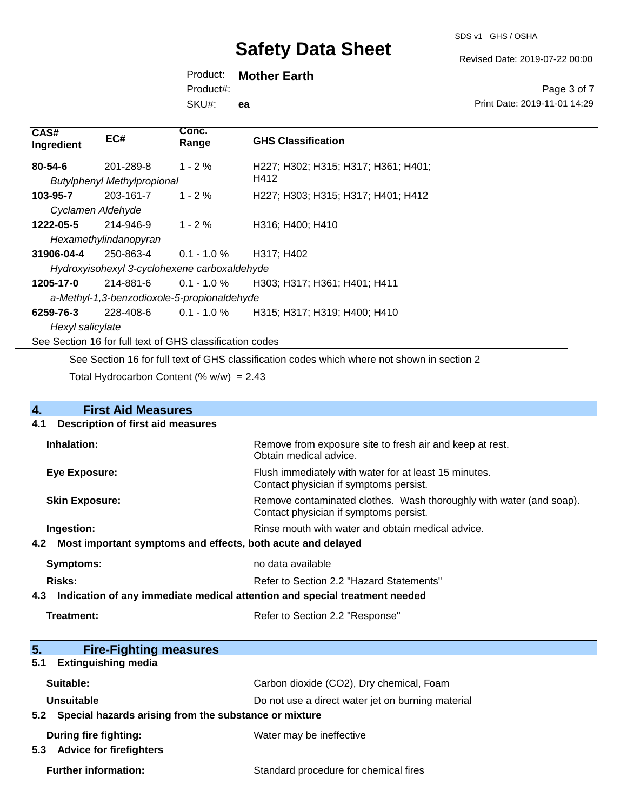SDS v1 GHS / OSHA

Revised Date: 2019-07-22 00:00

Product: **Mother Earth**

Product#:

SKU#: **ea**

Page 3 of 7 Print Date: 2019-11-01 14:29

| CAS#<br>Ingredient | EC#                                                      | Conc.<br>Range | <b>GHS Classification</b>                                                                   |
|--------------------|----------------------------------------------------------|----------------|---------------------------------------------------------------------------------------------|
| $80 - 54 - 6$      | 201-289-8                                                | $1 - 2 \%$     | H227; H302; H315; H317; H361; H401;                                                         |
|                    | <b>Butylphenyl Methylpropional</b>                       |                | H412                                                                                        |
| 103-95-7           | 203-161-7                                                | $1 - 2 \%$     | H227; H303; H315; H317; H401; H412                                                          |
| Cyclamen Aldehyde  |                                                          |                |                                                                                             |
| 1222-05-5          | 214-946-9                                                | $1 - 2 \%$     | H316; H400; H410                                                                            |
|                    | Hexamethylindanopyran                                    |                |                                                                                             |
| 31906-04-4         | 250-863-4                                                | $0.1 - 1.0 \%$ | H317; H402                                                                                  |
|                    | Hydroxyisohexyl 3-cyclohexene carboxaldehyde             |                |                                                                                             |
| 1205-17-0          | 214-881-6                                                | $0.1 - 1.0 \%$ | H303; H317; H361; H401; H411                                                                |
|                    | a-Methyl-1,3-benzodioxole-5-propionaldehyde              |                |                                                                                             |
| 6259-76-3          | 228-408-6                                                | $0.1 - 1.0 \%$ | H315; H317; H319; H400; H410                                                                |
| Hexyl salicylate   |                                                          |                |                                                                                             |
|                    | See Section 16 for full text of GHS classification codes |                |                                                                                             |
|                    |                                                          |                | See Section 16 for full text of GHS classification codes which where not shown in section 2 |

Total Hydrocarbon Content (%  $w/w$ ) = 2.43

| 4.                                              | <b>First Aid Measures</b>                                                  |                                                                                                               |
|-------------------------------------------------|----------------------------------------------------------------------------|---------------------------------------------------------------------------------------------------------------|
| <b>Description of first aid measures</b><br>4.1 |                                                                            |                                                                                                               |
|                                                 | Inhalation:                                                                | Remove from exposure site to fresh air and keep at rest.<br>Obtain medical advice.                            |
|                                                 | Eye Exposure:                                                              | Flush immediately with water for at least 15 minutes.<br>Contact physician if symptoms persist.               |
|                                                 | <b>Skin Exposure:</b>                                                      | Remove contaminated clothes. Wash thoroughly with water (and soap).<br>Contact physician if symptoms persist. |
|                                                 | Ingestion:                                                                 | Rinse mouth with water and obtain medical advice.                                                             |
| 4.2                                             | Most important symptoms and effects, both acute and delayed                |                                                                                                               |
|                                                 | <b>Symptoms:</b>                                                           | no data available                                                                                             |
|                                                 | Risks:                                                                     | Refer to Section 2.2 "Hazard Statements"                                                                      |
| 4.3                                             | Indication of any immediate medical attention and special treatment needed |                                                                                                               |
|                                                 | Treatment:                                                                 | Refer to Section 2.2 "Response"                                                                               |
| 5.                                              | <b>Fire-Fighting measures</b>                                              |                                                                                                               |
| 5.1                                             | <b>Extinguishing media</b>                                                 |                                                                                                               |
|                                                 | Suitable:                                                                  | Carbon dioxide (CO2), Dry chemical, Foam                                                                      |
|                                                 | Unsuitable                                                                 | Do not use a direct water jet on burning material                                                             |

**5.2 Special hazards arising from the substance or mixture**

|  | <b>During fire fighting:</b> |  |
|--|------------------------------|--|
|  |                              |  |

**5.3 Advice for firefighters**

Water may be ineffective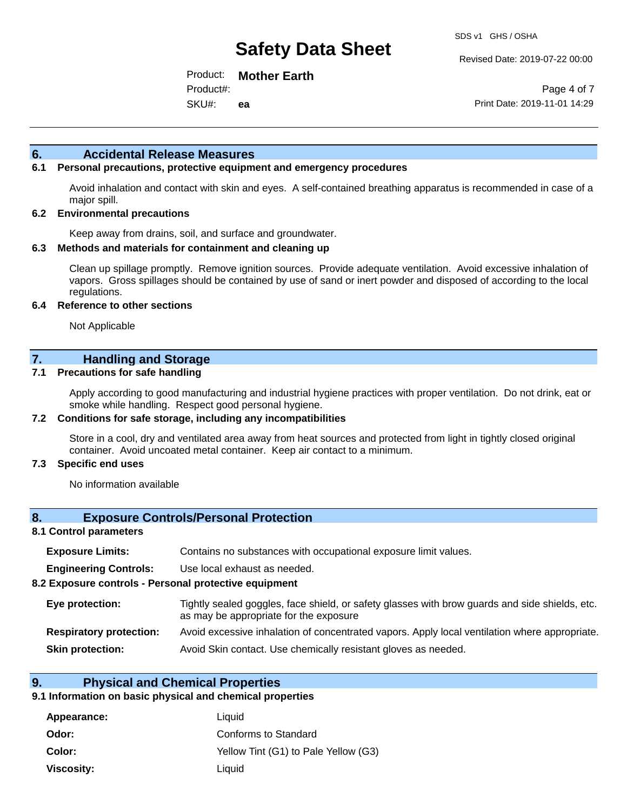Revised Date: 2019-07-22 00:00

Product: **Mother Earth** SKU#: Product#: **ea**

Page 4 of 7 Print Date: 2019-11-01 14:29

#### **6. Accidental Release Measures**

#### **6.1 Personal precautions, protective equipment and emergency procedures**

Avoid inhalation and contact with skin and eyes. A self-contained breathing apparatus is recommended in case of a major spill.

#### **6.2 Environmental precautions**

Keep away from drains, soil, and surface and groundwater.

#### **6.3 Methods and materials for containment and cleaning up**

Clean up spillage promptly. Remove ignition sources. Provide adequate ventilation. Avoid excessive inhalation of vapors. Gross spillages should be contained by use of sand or inert powder and disposed of according to the local regulations.

#### **6.4 Reference to other sections**

Not Applicable

### **7. Handling and Storage**

#### **7.1 Precautions for safe handling**

Apply according to good manufacturing and industrial hygiene practices with proper ventilation. Do not drink, eat or smoke while handling. Respect good personal hygiene.

#### **7.2 Conditions for safe storage, including any incompatibilities**

Store in a cool, dry and ventilated area away from heat sources and protected from light in tightly closed original container. Avoid uncoated metal container. Keep air contact to a minimum.

#### **7.3 Specific end uses**

No information available

#### **8. Exposure Controls/Personal Protection**

#### **8.1 Control parameters**

| <b>Exposure Limits:</b><br>Contains no substances with occupational exposure limit values. |
|--------------------------------------------------------------------------------------------|
|--------------------------------------------------------------------------------------------|

**Engineering Controls:** Use local exhaust as needed.

#### **8.2 Exposure controls - Personal protective equipment**

| Eye protection:                | Tightly sealed goggles, face shield, or safety glasses with brow guards and side shields, etc.<br>as may be appropriate for the exposure |  |
|--------------------------------|------------------------------------------------------------------------------------------------------------------------------------------|--|
| <b>Respiratory protection:</b> | Avoid excessive inhalation of concentrated vapors. Apply local ventilation where appropriate.                                            |  |
| <b>Skin protection:</b>        | Avoid Skin contact. Use chemically resistant gloves as needed.                                                                           |  |

#### **9. Physical and Chemical Properties**

#### **9.1 Information on basic physical and chemical properties**

| Appearance:       | Liquid                               |
|-------------------|--------------------------------------|
| Odor:             | Conforms to Standard                 |
| Color:            | Yellow Tint (G1) to Pale Yellow (G3) |
| <b>Viscosity:</b> | Liquid                               |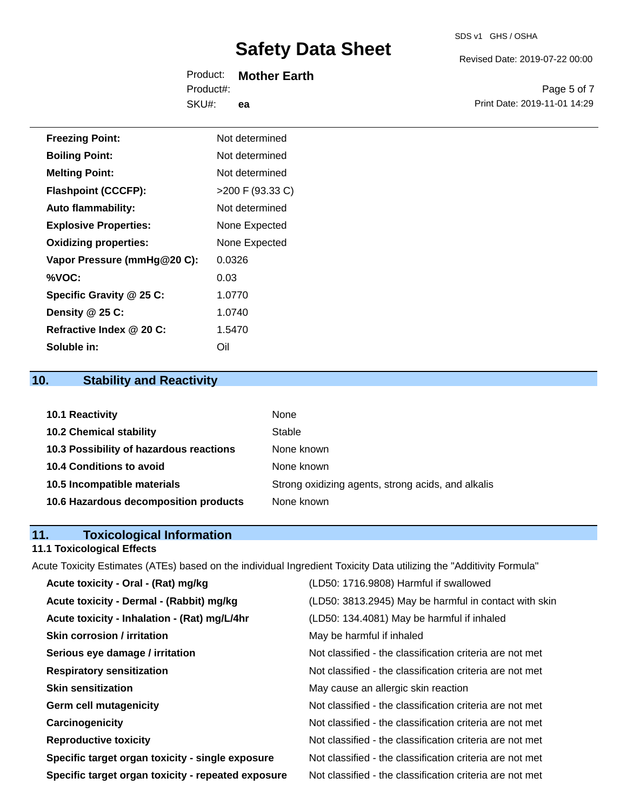Revised Date: 2019-07-22 00:00

Product: **Mother Earth** SKU#: Product#: **ea**

Page 5 of 7 Print Date: 2019-11-01 14:29

| <b>Freezing Point:</b>       | Not determined     |
|------------------------------|--------------------|
| <b>Boiling Point:</b>        | Not determined     |
| <b>Melting Point:</b>        | Not determined     |
| <b>Flashpoint (CCCFP):</b>   | $>200$ F (93.33 C) |
| <b>Auto flammability:</b>    | Not determined     |
| <b>Explosive Properties:</b> | None Expected      |
| <b>Oxidizing properties:</b> | None Expected      |
| Vapor Pressure (mmHg@20 C):  | 0.0326             |
| %VOC:                        | 0.03               |
| Specific Gravity @ 25 C:     | 1.0770             |
| Density @ 25 C:              | 1.0740             |
| Refractive Index @ 20 C:     | 1.5470             |
| Soluble in:                  | Oil                |

# **10. Stability and Reactivity**

| 10.1 Reactivity                         | None                                               |
|-----------------------------------------|----------------------------------------------------|
| <b>10.2 Chemical stability</b>          | Stable                                             |
| 10.3 Possibility of hazardous reactions | None known                                         |
| <b>10.4 Conditions to avoid</b>         | None known                                         |
| 10.5 Incompatible materials             | Strong oxidizing agents, strong acids, and alkalis |
| 10.6 Hazardous decomposition products   | None known                                         |

### **11. Toxicological Information**

## **11.1 Toxicological Effects**

Acute Toxicity Estimates (ATEs) based on the individual Ingredient Toxicity Data utilizing the "Additivity Formula"

| Acute toxicity - Oral - (Rat) mg/kg                | (LD50: 1716.9808) Harmful if swallowed                   |
|----------------------------------------------------|----------------------------------------------------------|
| Acute toxicity - Dermal - (Rabbit) mg/kg           | (LD50: 3813.2945) May be harmful in contact with skin    |
| Acute toxicity - Inhalation - (Rat) mg/L/4hr       | (LD50: 134.4081) May be harmful if inhaled               |
| <b>Skin corrosion / irritation</b>                 | May be harmful if inhaled                                |
| Serious eye damage / irritation                    | Not classified - the classification criteria are not met |
| <b>Respiratory sensitization</b>                   | Not classified - the classification criteria are not met |
| <b>Skin sensitization</b>                          | May cause an allergic skin reaction                      |
| <b>Germ cell mutagenicity</b>                      | Not classified - the classification criteria are not met |
| Carcinogenicity                                    | Not classified - the classification criteria are not met |
| <b>Reproductive toxicity</b>                       | Not classified - the classification criteria are not met |
| Specific target organ toxicity - single exposure   | Not classified - the classification criteria are not met |
| Specific target organ toxicity - repeated exposure | Not classified - the classification criteria are not met |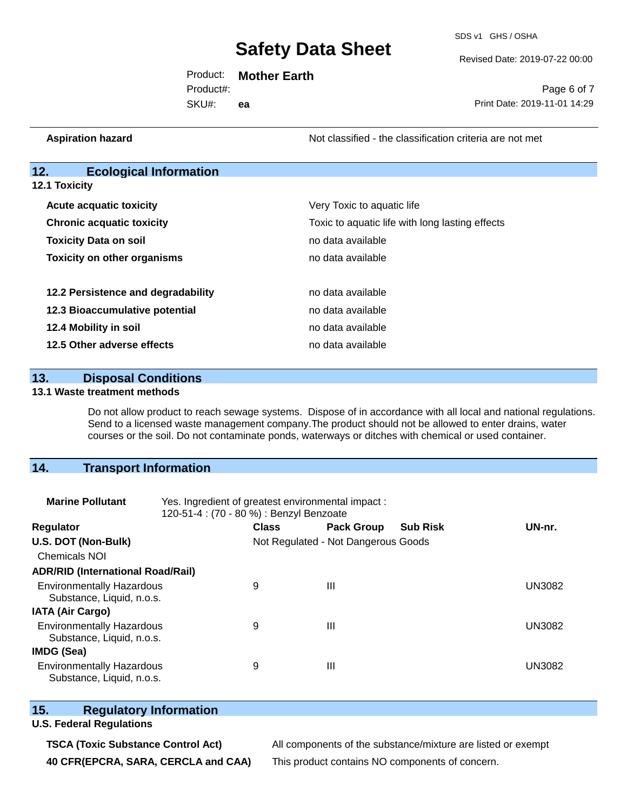SDS v1 GHS / OSHA

Revised Date: 2019-07-22 00:00

Product: **Mother Earth** Product#:

SKU#: **ea**

Page 6 of 7 Print Date: 2019-11-01 14:29

**Aspiration hazard Not classified - the classification criteria are not met** Not classified - the classification criteria are not met

### **12. Ecological Information**

**12.1 Toxicity**

| <b>Acute acquatic toxicity</b>     | Very Toxic to aquatic life                      |  |  |
|------------------------------------|-------------------------------------------------|--|--|
| <b>Chronic acquatic toxicity</b>   | Toxic to aquatic life with long lasting effects |  |  |
| <b>Toxicity Data on soil</b>       | no data available                               |  |  |
| <b>Toxicity on other organisms</b> | no data available                               |  |  |
|                                    |                                                 |  |  |
| 12.2 Persistence and degradability | no data available                               |  |  |
| 12.3 Bioaccumulative potential     | no data available                               |  |  |
| 12.4 Mobility in soil              | no data available                               |  |  |
| 12.5 Other adverse effects         | no data available                               |  |  |

**13. Disposal Conditions** 

#### **13.1 Waste treatment methods**

Do not allow product to reach sewage systems. Dispose of in accordance with all local and national regulations. Send to a licensed waste management company.The product should not be allowed to enter drains, water courses or the soil. Do not contaminate ponds, waterways or ditches with chemical or used container.

### **14. Transport Information**

| <b>Marine Pollutant</b>                                       | Yes. Ingredient of greatest environmental impact:<br>120-51-4 : (70 - 80 %) : Benzyl Benzoate |              |                                     |                 |               |  |  |
|---------------------------------------------------------------|-----------------------------------------------------------------------------------------------|--------------|-------------------------------------|-----------------|---------------|--|--|
| <b>Regulator</b>                                              |                                                                                               | <b>Class</b> | <b>Pack Group</b>                   | <b>Sub Risk</b> | UN-nr.        |  |  |
| U.S. DOT (Non-Bulk)                                           |                                                                                               |              | Not Regulated - Not Dangerous Goods |                 |               |  |  |
| <b>Chemicals NOI</b>                                          |                                                                                               |              |                                     |                 |               |  |  |
| <b>ADR/RID (International Road/Rail)</b>                      |                                                                                               |              |                                     |                 |               |  |  |
| <b>Environmentally Hazardous</b><br>Substance, Liquid, n.o.s. |                                                                                               | 9            | $\mathbf{III}$                      |                 | <b>UN3082</b> |  |  |
| <b>IATA (Air Cargo)</b>                                       |                                                                                               |              |                                     |                 |               |  |  |
| <b>Environmentally Hazardous</b><br>Substance, Liquid, n.o.s. |                                                                                               | 9            | $\mathbf{III}$                      |                 | <b>UN3082</b> |  |  |
| <b>IMDG (Sea)</b>                                             |                                                                                               |              |                                     |                 |               |  |  |
| <b>Environmentally Hazardous</b><br>Substance, Liquid, n.o.s. |                                                                                               | 9            | Ш                                   |                 | UN3082        |  |  |

### **15. Regulatory Information**

#### **U.S. Federal Regulations**

**TSCA (Toxic Substance Control Act)** All components of the substance/mixture are listed or exempt **40 CFR(EPCRA, SARA, CERCLA and CAA)** This product contains NO components of concern.